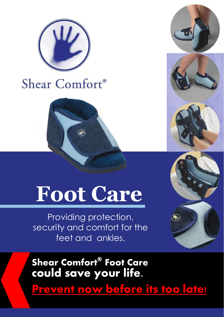

# Shear Comfort®

# **Foot Care**

Providing protection, security and comfort for the feet and ankles.



**Shear Comfort® Foot Care could save your life.** 

**Prevent now before its too late!**

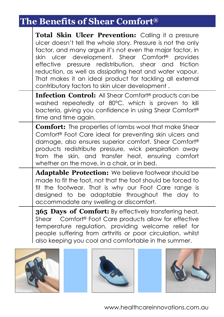# **The Benefits of Shear Comfort®**

| Total Skin Ulcer Prevention: Calling it a pressure<br>ulcer doesn't tell the whole story. Pressure is not the only<br>factor, and many argue it's not even the major factor, in<br>skin ulcer development. Shear Comfort <sup>®</sup><br>provides<br>effective pressure redistribution, shear and friction<br>reduction, as well as dissipating heat and water vapour.<br>That makes it an ideal product for tackling all external<br>contributory factors to skin ulcer development. |
|---------------------------------------------------------------------------------------------------------------------------------------------------------------------------------------------------------------------------------------------------------------------------------------------------------------------------------------------------------------------------------------------------------------------------------------------------------------------------------------|
| <b>Infection Control:</b> All Shear Comfort <sup>®</sup> products can be<br>washed repeatedly at 80°C, which is proven to kill<br>bacteria, giving you confidence in using Shear Comfort®<br>time and time again.                                                                                                                                                                                                                                                                     |
| <b>Comfort:</b> The properties of lambs wool that make Shear<br>Comfort® Foot Care ideal for preventing skin ulcers and<br>damage, also ensures superior comfort. Shear Comfort®<br>products redistribute pressure, wick perspiration away<br>from the skin, and transfer heat, ensuring comfort<br>whether on the move, in a chair, or in bed.                                                                                                                                       |
| Adaptable Protection: We believe footwear should be<br>made to fit the foot, not that the foot should be forced to<br>fit the footwear. That is why our Foot Care range is<br>designed to be adaptable throughout the day to<br>accommodate any swelling or discomfort.                                                                                                                                                                                                               |
| 365 Days of Comfort: By effectively transferring heat,<br>Comfort® Foot Care products allow for effective<br>Shear<br>temperature regulation, providing welcome relief for<br>people suffering from arthritis or poor circulation, whilst<br>also keeping you cool and comfortable in the summer.                                                                                                                                                                                     |





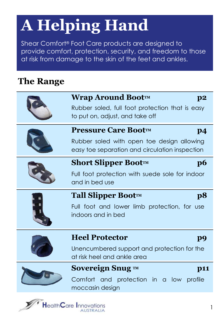# **A Helping Hand**

Shear Comfort® Foot Care products are designed to provide comfort, protection, security, and freedom to those at risk from damage to the skin of the feet and ankles.

### **The Range**

| Wrap Around Boot™<br>p2<br>Rubber soled, full foot protection that is easy<br>to put on, adjust, and take off                                |  |
|----------------------------------------------------------------------------------------------------------------------------------------------|--|
| <b>Pressure Care Boot™</b><br>p <sub>4</sub><br>Rubber soled with open toe design allowing<br>easy toe separation and circulation inspection |  |
| <b>Short Slipper Boot™</b><br>$\bf{p6}$<br>Full foot protection with suede sole for indoor<br>and in bed use                                 |  |
| Tall Slipper Boot™<br>p8<br>Full foot and lower limb protection, for use<br>indoors and in bed                                               |  |
| <b>Heel Protector</b><br>p9<br>Unencumbered support and protection for the<br>at risk heel and ankle area                                    |  |
| Sovereign Snug ™<br><b>p11</b><br>Comfort and protection in a low<br>profile<br>moccasin design                                              |  |

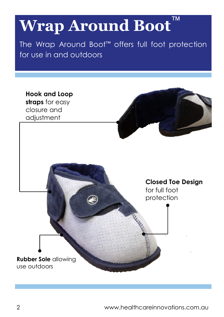# **Wrap Around Boot**™

The Wrap Around Boot™ offers full foot protection for use in and outdoors

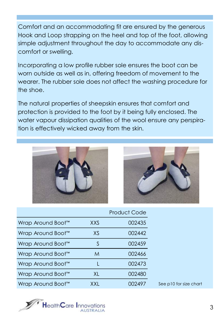Comfort and an accommodating fit are ensured by the generous Hook and Loop strapping on the heel and top of the foot, allowing simple adjustment throughout the day to accommodate any discomfort or swelling.

Incorporating a low profile rubber sole ensures the boot can be worn outside as well as in, offering freedom of movement to the wearer. The rubber sole does not affect the washing procedure for the shoe.

The natural properties of sheepskin ensures that comfort and protection is provided to the foot by it being fully enclosed. The water vapour dissipation qualities of the wool ensure any perspiration is effectively wicked away from the skin.





|                   |      | <b>Product Code</b> |                        |
|-------------------|------|---------------------|------------------------|
| Wrap Around Boot™ | XXS. | 002435              |                        |
| Wrap Around Boot™ | XS   | 002442              |                        |
| Wrap Around Boot™ | S    | 002459              |                        |
| Wrap Around Boot™ | M    | 002466              |                        |
| Wrap Around Boot™ |      | 002473              |                        |
| Wrap Around Boot™ | XL   | 002480              |                        |
| Wrap Around Boot™ | XXL  | 002497              | See p10 for size chart |

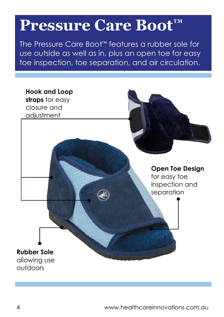# **Pressure Care Boot™**

The Pressure Care Boot™ features a rubber sole for use outside as well as in, plus an open toe for easy toe inspection, toe separation, and air circulation.

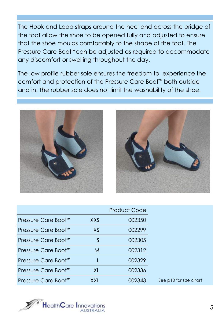The Hook and Loop straps around the heel and across the bridge of the foot allow the shoe to be opened fully and adjusted to ensure that the shoe moulds comfortably to the shape of the foot. The Pressure Care Boot™ can be adjusted as required to accommodate any discomfort or swelling throughout the day.

The low profile rubber sole ensures the freedom to experience the comfort and protection of the Pressure Care Boot™ both outside and in. The rubber sole does not limit the washability of the shoe.





|                     |            | <b>Product Code</b> |                        |
|---------------------|------------|---------------------|------------------------|
| Pressure Care Boot™ | <b>XXS</b> | 002350              |                        |
| Pressure Care Boot™ | XS         | 002299              |                        |
| Pressure Care Boot™ |            | 002305              |                        |
| Pressure Care Boot™ | M          | 002312              |                        |
| Pressure Care Boot™ |            | 002329              |                        |
| Pressure Care Boot™ | XL         | 002336              |                        |
| Pressure Care Boot™ | XXI        | 002343              | See p10 for size chart |

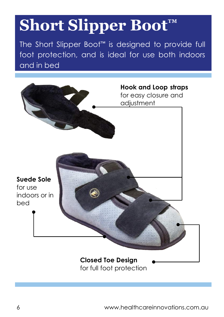# **Short Slipper Boot™**

The Short Slipper Boot™ is designed to provide full foot protection, and is ideal for use both indoors and in bed

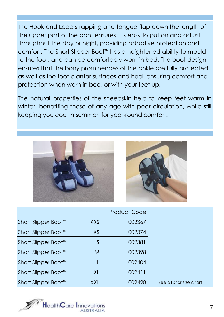The Hook and Loop strapping and tongue flap down the length of the upper part of the boot ensures it is easy to put on and adjust throughout the day or night, providing adaptive protection and comfort. The Short Slipper Boot™ has a heightened ability to mould to the foot, and can be comfortably worn in bed. The boot design ensures that the bony prominences of the ankle are fully protected as well as the foot plantar surfaces and heel, ensuring comfort and protection when worn in bed, or with your feet up.

The natural properties of the sheepskin help to keep feet warm in winter, benefiting those of any age with poor circulation, while still keeping you cool in summer, for year-round comfort.





|                     |            | Product Code |                        |
|---------------------|------------|--------------|------------------------|
| Short Slipper Boot™ | <b>XXS</b> | 002367       |                        |
| Short Slipper Boot™ | XS         | 002374       |                        |
| Short Slipper Boot™ |            | 002381       |                        |
| Short Slipper Boot™ | M          | 002398       |                        |
| Short Slipper Boot™ |            | 002404       |                        |
| Short Slipper Boot™ | XL         | 002411       |                        |
| Short Slipper Boot™ | XXL        | 002428       | See p10 for size chart |

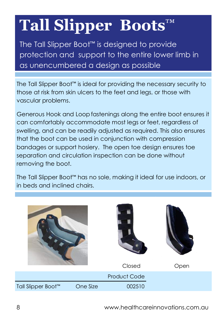# **Tall Slipper Boots**™

The Tall Slipper Boot™ is designed to provide protection and support to the entire lower limb in as unencumbered a design as possible

The Tall Slipper Boot™ is ideal for providing the necessary security to those at risk from skin ulcers to the feet and legs, or those with vascular problems.

Generous Hook and Loopfastenings along the entire boot ensures it can comfortably accommodate most legs or feet, regardless of swelling, and can be readily adjusted as required. This also ensures that the boot can be used in conjunction with compression bandages or support hosiery. The open toe design ensures toe separation and circulation inspection can be done without removing the boot.

The Tall Slipper Boot™ has no sole, making it ideal for use indoors, or in beds and inclined chairs.

|                                |          | œ<br>Closed         | Open |
|--------------------------------|----------|---------------------|------|
|                                |          | <b>Product Code</b> |      |
| Tall Slipper Boot <sup>™</sup> | One Size | 002510              |      |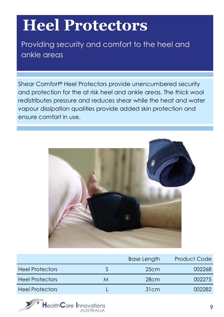# **Heel Protectors**

Providing security and comfort to the heel and ankle areas

Shear Comfort® Heel Protectors provide unencumbered security and protection for the at risk heel and ankle areas. The thick wool redistributes pressure and reduces shear while the heat and water vapour dissipation qualities provide added skin protection and ensure comfort in use.



|                        |   | <b>Base Length</b> | <b>Product Code</b> |
|------------------------|---|--------------------|---------------------|
| <b>Heel Protectors</b> |   | 25cm               | 002268              |
| <b>Heel Protectors</b> | M | 28cm               | 002275              |
| <b>Heel Protectors</b> |   | 31cm               | NN2282.             |

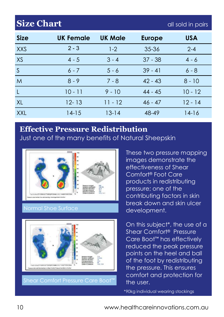## **Size Chart** and **Size Chart** all sold in pairs

| <b>Size</b>  | <b>UK Female</b> | <b>UK Male</b> | <b>Europe</b> | <b>USA</b> |
|--------------|------------------|----------------|---------------|------------|
| <b>XXS</b>   | $2 - 3$          | $1 - 2$        | 35-36         | $2 - 4$    |
| XS           | $4 - 5$          | $3 - 4$        | $37 - 38$     | $4 - 6$    |
| S            | $6 - 7$          | $5 - 6$        | $39 - 41$     | $6 - 8$    |
| M            | $8 - 9$          | $7 - 8$        | $42 - 43$     | $8 - 10$   |
| $\mathsf{L}$ | $10 - 11$        | $9 - 10$       | $44 - 45$     | $10 - 12$  |
| XL           | $12 - 13$        | $11 - 12$      | $46 - 47$     | $12 - 14$  |
| <b>XXL</b>   | 14-15            | 13-14          | 48-49         | 14-16      |

### **Effective Pressure Redistribution**

Just one of the many benefits of Natural Sheepskin





These two pressure mapping images demonstrate the effectiveness of Shear Comfort® Foot Care products in redistributing pressure; one of the contributing factors in skin break down and skin ulcer development.

On this subject\*, the use of a Shear Comfort® Pressure Care Boot™ has effectively reduced the peak pressure points on the heel and ball of the foot by redistributing the pressure. This ensures comfort and protection for the user.

\*90kg individual wearing stockings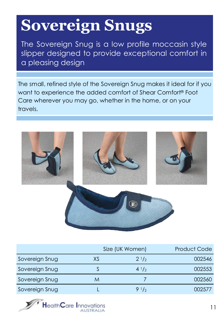# **Sovereign Snugs**

The Sovereign Snug is a low profile moccasin style slipper designed to provide exceptional comfort in a pleasing design

The small, refined style of the Sovereign Snug makes it ideal for if you want to experience the added comfort of Shear Comfort® Foot Care wherever you may go, whether in the home, or on your travels.



|                |    | Size (UK Women) | <b>Product Code</b> |
|----------------|----|-----------------|---------------------|
| Sovereign Snug | XS | $2^{1/2}$       | 002546              |
| Sovereign Snug |    | $4^{1/2}$       | 002553              |
| Sovereign Snug | M  |                 | 002560              |
| Sovereign Snug |    | 91/2            | 002577              |

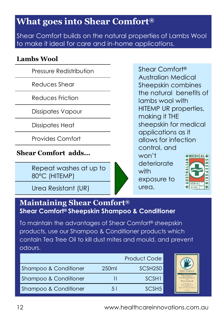### **What goes into Shear Comfort®**

Shear Comfort builds on the natural properties of Lambs Wool to make it ideal for care and in-home applications.

#### **Lambs Wool**

Pressure Redistribution

Reduces Shear

Reduces Friction

Dissipates Vapour

Dissipates Heat

Provides Comfort

### **Shear Comfort adds...**

Repeat washes at up to 80°C (HITEMP)

Urea Resistant (UR)

Shear Comfort® Australian Medical Sheepskin combines the natural benefits of lambs wool with HITEMP UR properties, making it THE sheepskin for medical applications as it allows for infection control, and won't **+MEDICAL** deteriorate with exposure to

### **Maintaining Shear Comfort® Shear Comfort® Sheepskin Shampoo & Conditioner**

To maintain the advantages of Shear Comfort® sheepskin products, use our Shampoo & Conditioner products which contain Tea Tree Oil to kill dust mites and mould, and prevent odours.

|                       |                   | <b>Product Code</b> |
|-----------------------|-------------------|---------------------|
| Shampoo & Conditioner | 250 <sub>ml</sub> | SCSH <sub>250</sub> |
| Shampoo & Conditioner |                   | SC <sub>SH1</sub>   |
| Shampoo & Conditioner | 51                | SCSH <sub>5</sub>   |



urea.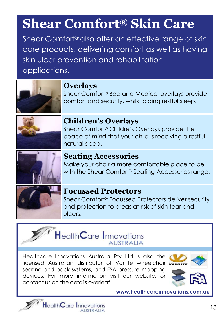# **Shear Comfort® Skin Care**

Shear Comfort® also offer an effective range of skin care products, delivering comfort as well as having skin ulcer prevention and rehabilitation applications.



### **Overlays**

Shear Comfort® Bed and Medical overlays provide comfort and security, whilst aiding restful sleep.



### **Children's Overlays**

Shear Comfort® Childre's Overlays provide the peace of mind that your child is receiving a restful, natural sleep.



### **Seating Accessories**

Make your chair a more comfortable place to be with the Shear Comfort<sup>®</sup> Seating Accessories range.



### **Focussed Protectors**

Shear Comfort® Focussed Protectors deliver security and protection to areas at risk of skin tear and ulcers.



Healthcare Innovations Australia Pty Ltd is also the licensed Australian distributor of Varilite wheelchair seating and back systems, and FSA pressure mapping devices. For more information visit our website, or contact us on the details overleaf.





www.healthcareinnovations.com